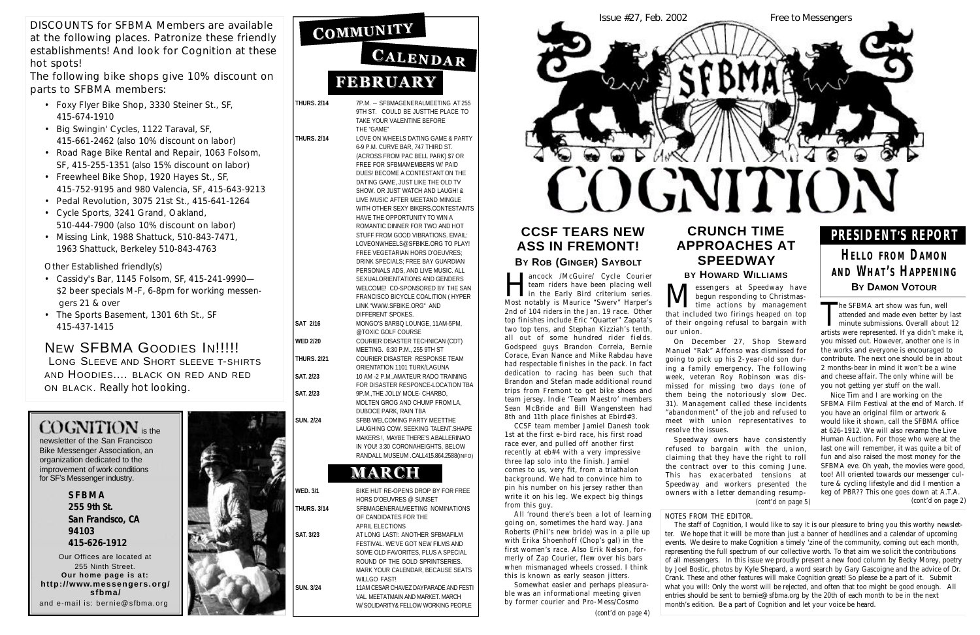**THURS. 2/14** 7P.M. -- SFBMAGENERALMEETING AT 255

9TH ST. COULD BE JUSTTHE PLACE TO TAKE YOUR VALENTINE BEFORE THE "GAME"

**SAT 2/16** MONGO'S BARBQ LOUNGE, 11AM-5PM, @TOXIC GOLF COURSE **WED 2/20** COURIER DISASTER TECHNICAN (CDT) MEETING. 6:30 P.M., 255 9TH ST **THURS. 2/21** COURIER DISASTER RESPONSE TEAM ORIENTATION 1101 TURK/LAGUNA **SAT. 2/23** 10 AM -2 P.M.,AMATEUR RADO TRAINING FOR DISASTER RESPONCE-LOCATION TBA **SAT. 2/23** 9P.M.,THE JOLLY MOLE- CHARBO, MOLTEN GROG AND CHUMP FROM LA, DUBOCE PARK, RAIN TBA **SUN. 2/24** SFBB WELCOMING PARTY MEETTHE LAUGHING COW. SEEKING TALENT.SHAPE MAKERS !, MAYBE THERE'S A BALLERINA/O IN YOU! 3:30 CORONAHEIGHTS, BELOW RANDALL MUSEUM .CALL415.864.2588(INFO)

# MARCH

**THURS. 2/14** LOVE ON WHEELS DATING GAME & PARTY 6-9 P.M. CURVE BAR, 747 THIRD ST. (ACROSS FROM PAC BELL PARK) \$7 OR FREE FOR SFBMAMEMBERS W/ PAID DUES! BECOME A CONTESTANT ON THE DATING GAME, JUST LIKE THE OLD TV SHOW. OR JUST WATCH AND LAUGH! & LIVE MUSIC AFTER MEETAND MINGLE WITH OTHER SEXY BIKERS.CONTESTANTS HAVE THE OPPORTUNITY TO WIN A ROMANTIC DINNER FOR TWO AND HOT STUFF FROM GOOD VIBRATIONS. EMAIL: LOVEONWHEELS@SFBIKE.ORG TO PLAY! FREE VEGETARIAN HORS D'OEUVRES; DRINK SPECIALS; FREE BAY GUARDIAN PERSONALS ADS, AND LIVE MUSIC. ALL SEXUALORIENTATIONS AND GENDERS WELCOME! CO-SPONSORED BY THE SAN FRANCISCO BICYCLE COALITION ( HYPER LINK "WWW.SFBIKE.ORG" AND DIFFERENT SPOKES.

**WED. 3/1** BIKE HUT RE-OPENS DROP BY FOR FREE HORS D'OEUVRES @ SUNSET **THURS. 3/14** SFBMAGENERALMEETING NOMINATIONS OF CANDIDATES FOR THE APRIL ELECTIONS **SAT. 3/23** AT LONG LAST!: ANOTHER SFBMAFILM FESTIVAL. WE'VE GOT NEW FILMS AND SOME OLD FAVORITES, PLUS A SPECIAL ROUND OF THE GOLD SPRINTSERIES. MARK YOUR CALENDAR, BECAUSE SEATS WILLGO FAST! **SUN. 3/24** 11AM CESAR CHAVEZ DAYPARADE AND FESTI

#### **CRUNCH TIME APPROACHES AT S P E E D WAY BY HOWARD WILLIAMS**

**M** essengers at Speedway have begun responding to Christmas-<br>time actions by management<br>that included two firings heaped on top essengers at Speedway have begun responding to Christmas-I time actions by management of their ongoing refusal to bargain with

VAL. MEETATMAIN AND MARKET. MARCH W/ SOLIDARITY& FELLOW WORKING PEOPLE



newsletter of the San Francisco Bike Messenger Association, an organization dedicated to the improvement of work conditions for SF's Messenger industry.

> **S F B M A 255 9th St. San Francisco, CA 94103 415-626-1912**

Our Offices are located at 255 Ninth Street. **Our home page is at:** http://www.messengers.org/ **s f b m a /** and e-mail is: bernie@sfbma.org



COMMUNITY

# CALENDAR **FEBRUARY**

DISCOUNTS for SFBMA Members are available at the following places. Patronize these friendly establishments! And look for *Cognition* at these hot spots!

The following bike shops give 10% discount on parts to SFBMA members:

> ancock /McGuire/ Cycle Courier<br>team riders have been placing well<br>in the Early Bird criterium series.<br>Most notably is Maurice "Swery" Harner's ancock /McGuire/ Cycle Courier team riders have been placing well Most notably is Maurice "Swerv" Harper's 2nd of 104 riders in the Jan. 19 race. Other top finishes include Eric "Quarter" Zapata's two top tens, and Stephan Kizziah's tenth, all out of some hundred rider fields. Godspeed guys Brandon Correia, Bernie Corace, Evan Nance and Mike Rabdau have had respectable finishes in the pack. In fact dedication to racing has been such that Brandon and Stefan made additional round trips from Fremont to get bike shoes and team jersey. Indie 'Team Maestro' members Sean McBride and Bill Wangensteen had 8th and 11th place finishes at Ebird#3.

- Foxy Flyer Bike Shop, 3330 Steiner St., SF, 415-674-1910
- Big Swingin' Cycles, 1122 Taraval, SF, 415-661-2462 (also 10% discount on labor)
- Road Rage Bike Rental and Repair, 1063 Folsom, SF, 415-255-1351 (also 15% discount on labor)
- Freewheel Bike Shop, 1920 Hayes St., SF, 415-752-9195 and 980 Valencia, SF, 415-643-9213
- Pedal Revolution, 3075 21st St., 415-641-1264
- Cycle Sports, 3241 Grand, Oakland, 510-444-7900 (also 10% discount on labor)
- Missing Link, 1988 Shattuck, 510-843-7471, 1963 Shattuck, Berkeley 510-843-4763

**HELLO FROM DAMON A N D WH A T ' S HA P P E N I N G BY DAMON VOTOUR**

Other Established friendly(s)

- Cassidy's Bar, 1145 Folsom, SF, 415-241-9990— \$2 beer specials M-F, 6-8pm for working messengers 21 & over
- The Sports Basement, 1301 6th St., SF 415-437-1415

#### NEW SFBMA GOODIES IN!!!!!

LONG SLEEVE AND SHORT SLEEVE T-SHIRTS AND HOODIES.... BLACK ON RED AND RED on **BLACK**. Really hot looking.

# $CO$ GNITION is the

The staff of *Cognition*, I would like to say it is our pleasure to bring you this worthy newsletter. We hope that it will be more than just a banner of headlines and a calendar of upcoming events. We desire to make *Cognition* a timely 'zine of the community, coming out each month, representing the full spectrum of our collective worth. To that aim we solicit the contributions of all messengers. In this issue we proudly present a new food column by Becky Morey, poetry

by Joel Bostic, photos by Kyle Shepard, a word search by Gary Gascoigne and the advice of Dr. Crank. These and other features will make *Cognition* great! So please be a part of it. Submit what you will: Only the worst will be rejected, and often that too might be good enough. All entries should be sent to bernie@sfbma.org by the 20th of each month to be in the next month's edition. Be a part of *Cognition* and let your voice be heard.

The SFBMA art show was fun, well<br>attended and made even better by<br>minute submissions. Overall about<br>artists were represented. If ya didn't ma attended and made even better by last minute submissions. Overall about 12 artists were represented. If ya didn't make it, you missed out. However, another one is in the works and everyone is encouraged to contribute. The next one should be in about 2 months-bear in mind it won't be a wine and cheese affair. The only whine will be you not getting yer stuff on the wall.

our union.

On December 27, Shop Steward Manuel "Rak" Affonso was dismissed for going to pick up his 2-year-old son during a family emergency. The following week, veteran Roy Robinson was dismissed for missing two days (one of them being the notoriously slow Dec. 31). Management called these incidents "abandonment" of the job and refused to meet with union representatives to resolve the issues.

Speedway owners have consistently refused to bargain with the union, claiming that they have the right to roll the contract over to this coming June. This has exacerbated tensions at Speedway and workers presented the owners with a letter demanding resump-

## **CCSF TEARS NEW ASS IN FREMONT!**

#### **BY** ROB (GINGER) SAYBOLT

CCSF team member Jamiel Danesh took 1st at the first e-bird race, his first road race ever, and pulled off another first recently at eb#4 with a very impressive three lap solo into the finish. Jamiel comes to us, very fit, from a triathalon background. We had to convince him to pin his number on his jersey rather than write it on his leg. We expect big things from this guy.

All 'round there's been a lot of learning going on, sometimes the hard way. Jana Roberts (Phil's new bride) was in a pile up with Erika Shoenhoff (Chop's gal) in the first women's race. Also Erik Nelson, formerly of Zap Courier, flew over his bars when mismanaged wheels crossed. I think this is known as early season jitters.

Somewhat easier and perhaps pleasurable was an informational meeting given by former courier and Pro-Mess/Cosmo

# **P R E S I D E N T'S REPORT**

#### *NOTES FROM THE EDITOR.*

Nice Tim and I are working on the SFBMA Film Festival at the end of March. If you have an original film or artwork & would like it shown, call the SFBMA office at 626-1912. We will also revamp the Live Human Auction. For those who were at the last one will remember, it was quite a bit of fun and also raised the most money for the SFBMA eve. Oh yeah, the movies were good, too! All oriented towards our messenger culture & cycling lifestyle and did I mention a keg of PBR?? This one goes down at A.T.A. *(cont'd on page 5) (cont'd on page 2)*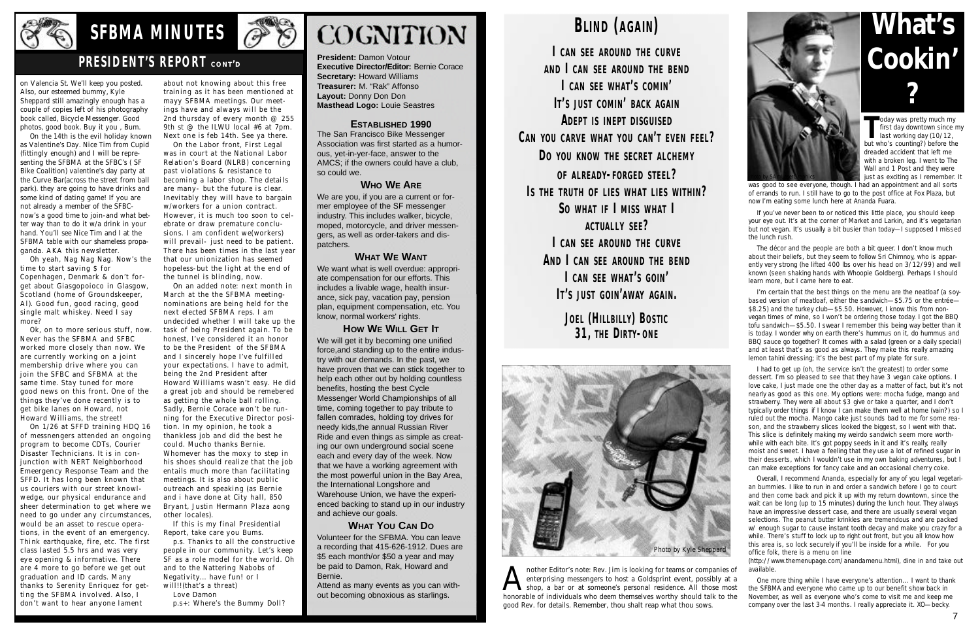

# **SFBMA MINUTES**

#### **PRESIDENT'S REPORT CONT'D**

**President:** Damon Votour **Executive Director/Editor: Bernie Corace Secretary:** Howard Williams **Treasurer:** M. "Rak" Affonso **Layout:** Donny Don Don **Masthead Logo:** Louie Seastres

#### **ESTABLISHED 1990**

The San Francisco Bike Messenger Association was first started as a humorous, yet-in-yer-face, answer to the AMCS; if the owners could have a club, so could we.

#### **WHO WE ARE**

We are you, if you are a current or former employee of the SF messenger industry. This includes walker, bicycle, moped, motorcycle, and driver messengers, as well as order-takers and dispatchers.

#### **WHAT WE WANT**

We want what is well overdue: appropriate compensation for our efforts. This includes a livable wage, health insurance, sick pay, vacation pay, pension plan, equipment compensation, etc. You know, normal workers' rights.

**HOW WE WILL GET IT** We will get it by becoming one unified force,and standing up to the entire industry with our demands. In the past, we have proven that we can stick together to help each other out by holding countless benefits, hosting the best Cycle Messenger World Championships of all time, coming together to pay tribute to fallen comrades, holding toy drives for needy kids,the annual Russian River Ride and even things as simple as creating our own underground social scene each and every day of the week. Now that we have a working agreement with the most powerful union in the Bay Area, the International Longshore and Warehouse Union, we have the experienced backing to stand up in our industry and achieve our goals.

was good to see everyone, though. I had an appointment and all sorts of errands to run. I still have to go to the post office at Fox Plaza, but now I'm eating some lunch here at Ananda Fuara.

#### **WHAT YOU CAN DO**

The décor and the people are both a bit queer. I don't know much about their beliefs, but they seem to follow Sri Chimnoy, who is apparently very strong (he lifted 400 lbs over his head on 3/12/99) and well known (seen shaking hands with Whoopie Goldberg). Perhaps I should learn more, but I came here to eat.

Volunteer for the SFBMA. You can leave a recording that 415-626-1912. Dues are \$5 each month/or \$50 a year and may be paid to Damon, Rak, Howard and Bernie.

Attend as many events as you can without becoming obnoxious as starlings.

# **BLIND** (AGAIN)

 $I$  CAN SEE AROUND THE CURVE **A N D I C A N S E E A R O U N D T H E B E N D I C A N S E E W H AT'S C O M I N'**  $I$ <sup>s</sup> JUST COMIN' BACK AGAIN **ADEPT IS INEPT DISGUISED** CAN YOU CARVE WHAT YOU CAN'T EVEN FEEL? DO YOU KNOW THE SECRET ALCHEMY OF ALREADY-FORGED STEEL? **IS THE TRUTH OF LIES WHAT LIES WITHIN?**  $[$ SO WHAT IF  $[$  MISS WHAT  $[$ **AC T UA L LY S E E? L CAN SEE AROUND THE CURVE** AND  $\vert$  can see around the BEND **I C A N S E E W H AT'S G O I N'**  $I$ T'S JUST GOIN'AWAY AGAIN.

> **JOEL (HILLBILLY) BOSTIC** 31, THE DIRTY-ONE

I'm certain that the best things on the menu are the neatloaf (a soybased version of meatloaf, either the sandwich—\$5.75 or the entrée— \$8.25) and the turkey club—\$5.50. However, I know this from nonvegan times of mine, so I won't be ordering those today. I got the BBQ tofu sandwich—\$5.50. I swear I remember this being way better than it is today. I wonder why on earth there 's hummus on it, do hummus and BBQ sauce go together? It comes with a salad (green or a daily special) and at least that's as good as always. They make this really amazing lemon tahini dressing; it's the best part of my plate for sure.

Overall, I recommend Ananda, especially for any of you legal vegetarian bummies. I like to run in and order a sandwich before I go to court and then come back and pick it up with my return downtown, since the wait can be long (up to 15 minutes) during the lunch hour. They always have an impressive dessert case, and there are usually several vegan selections. The peanut butter krinkles are tremendous and are packed w/ enough sugar to cause instant tooth decay and make you crazy for a while. There's stuff to lock up to right out front, but you all know how this area is, so lock securely if you'll be inside for a while. For you office folk, there is a menu on line

(http://www.themenupage.com/anandamenu.html), dine in and take out available.

One more thing while I have everyone's attention... I want to thank the SFBMA and everyone who came up to our benefit show back in November, as well as everyone who's come to visit me and keep me company over the last 3-4 months. I really appreciate it. XO—becky.

If you've never been to or noticed this little place, you should keep your eye out. It's at the corner of Market and Larkin, and it's vegetarian but not vegan. It's usually a bit busier than today—I supposed I missed the lunch rush.

A nother Editor's note: Rev. Jim is looking for teams or companies of enterprising messengers to host a Goldsprint event, possibly at a shop, a bar or at someone's personal residence. All those most honorable of individual nother Editor's note: Rev. Jim is looking for teams or companies of enterprising messengers to host a Goldsprint event, possibly at a shop, a bar or at someone's personal residence. All those most good Rev. for details. Remember, thou shalt reap what thou sows.

Oh yeah, Nag Nag Nag. Now's the time to start saving \$ for Copenhagen, Denmark & don't forget about Giasgopoioco in Glasgow, Scotland (home of Groundskeeper, Al). Good fun, good racing, good single malt whiskey. Need I say more?

> I had to get up (oh, the service isn't the greatest) to order some dessert. I'm so pleased to see that they have 3 vegan cake options. I love cake, I just made one the other day as a matter of fact, but it's not nearly as good as this one. My options were: mocha fudge, mango and strawberry. They were all about \$3 give or take a quarter, and I don't typically order things if I know I can make them well at home (vain?) so I ruled out the mocha. Mango cake just sounds bad to me for some reason, and the strawberry slices looked the biggest, so I went with that. This slice is definitely making my weirdo sandwich seem more worthwhile with each bite. It's got poppy seeds in it and it's really, really moist and sweet. I have a feeling that they use a lot of refined sugar in their desserts, which I wouldn't use in my own baking adventures, but I can make exceptions for fancy cake and an occasional cherry coke.

p.s. Thanks to all the constructive people in our community. Let's keep SF as a role model for the world. Oh and to the Nattering Nabobs of Negativity... have fun! or I will!!(that's a threat)

# **What's Cookin' ?**

Today was pretty much my<br>
first day downtown since n<br>
last working day (10/12,<br>
but who's counting?) before the oday was pretty much my first day downtown since my last working day (10/12, dreaded accident that left me with a broken leg. I went to The Wall and 1 Post and they were just as exciting as I remember. It



on Valencia St. We'll keep you posted. Also, our esteemed bummy, Kyle Sheppard still amazingly enough has a couple of copies left of his photography book called, Bicycle Messenger. Good photos, good book. Buy it you , Bum.

On the 14th is the evil holiday known as Valentine's Day. Nice Tim from Cupid (fittingly enough) and I will be representing the SFBMA at the SFBC's ( SF Bike Coalition) valentine's day party at the Curve Bar(across the street from ball park). they are going to have drinks and some kind of dating game! If you are not already a member of the SFBCnow's a good time to join-and what better way than to do it w/a drink in your hand. You'll see Nice Tim and I at the SFBMA table with our shameless propaganda. AKA this newsletter.

Ok, on to more serious stuff, now. Never has the SFBMA and SFBC worked more closely than now. We are currently working on a joint membership drive where you can join the SFBC and SFBMA at the same time. Stay tuned for more good news on this front. One of the things they've done recently is to get bike lanes on Howard, not Howard Williams, the street!

On 1/26 at SFFD training HDQ 16 of messnengers attended an ongoing program to become CDTs, Courier Disaster Technicians. It is in conjunction with NERT Neighborhood Emeergency Response Team and the SFFD. It has long been known that us couriers with our street knowlwedge, our physical endurance and sheer determination to get where we need to go under any circumstances, would be an asset to rescue operations, in the event of an emergency. Think earthquake, fire, etc. The first class lasted 5.5 hrs and was very eye opening & informative. There are 4 more to go before we get out graduation and ID cards. Many thanks to Serenity Enriquez for getting the SFBMA involved. Also, I don't want to hear anyone lament

about not knowing about this free training as it has been mentioned at mayy SFBMA meetings. Our meetings have and always will be the 2nd thursday of every month @ 255 9th st @ the ILWU local #6 at 7pm. Next one is feb 14th. See ya there.

On the Labor front, First Legal was in court at the National Labor Relation's Board (NLRB) concerning past violations & resistance to becoming a labor shop. The details are many- but the future is clear. Inevitably they will have to bargain w/workers for a union contract. However, it is much too soon to celebrate or draw premature conclusions. I am confident we(workers) will prevail- just need to be patient. There has been times in the last year that our unionization has seemed hopeless-but the light at the end of the tunnel is blinding, now.

On an added note: next month in March at the the SFBMA meetingnominations are being held for the next elected SFBMA reps. I am undecided whether I will take up the task of being President again. To be honest, I've considered it an honor to be the President of the SFBMA and I sincerely hope I've fulfilled your expectations. I have to admit, being the 2nd President after Howard Williams wasn't easy. He did a great job and should be remebered as getting the whole ball rolling. Sadly, Bernie Corace won't be running for the Executive Director position. In my opinion, he took a thankless job and did the best he could. Mucho thanks Bernie. Whomever has the moxy to step in his shoes should realize that the job entails much more than facilitating meetings. It is also about public outreach and speaking (as Bernie and i have done at City hall, 850 Bryant, Justin Hermann Plaza aong other locales).

If this is my final Presidential Report, take care you Bums.

Love Damon

p.s+: Where's the Bummy Doll?



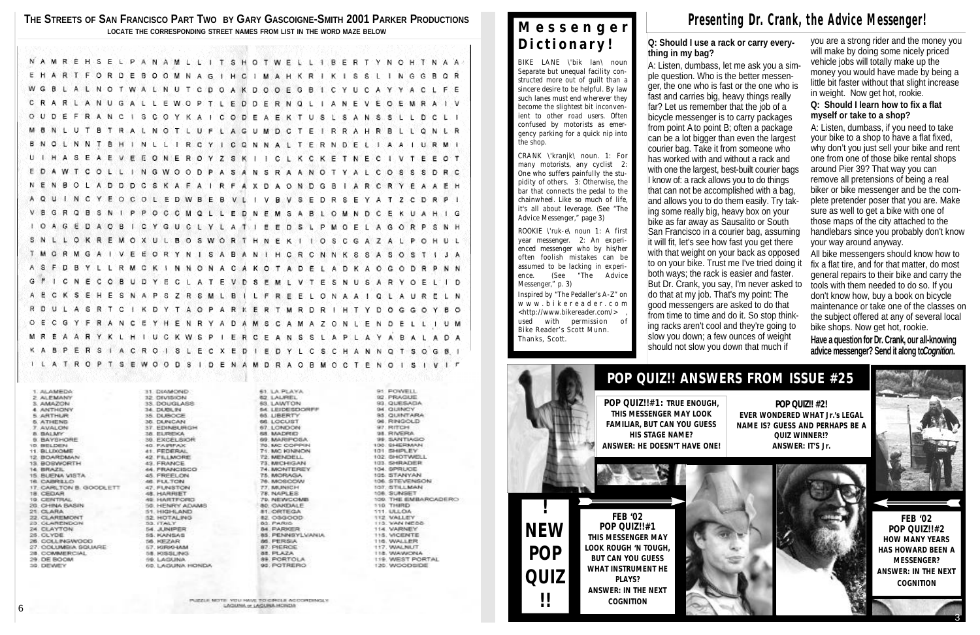**THE STREETS OF SAN FRANCISCO PART TWO BY GARY GASCOIGNE-SMITH 2001 PARKER PRODUCTIONS LOCATE THE CORRESPONDING STREET NAMES FROM LIST IN THE WORD MAZE BELOW**

|           |     |       |     |                 |  |      |            |     |        |  |     |  |  |  |  |  |                                                                         |  |  |  |  |  |  |  |  |  |  |           |  |  |  |                                                                               | NAMREHSELPANAMLLITSHOTWELLIBERTYNOHTNAA |  |
|-----------|-----|-------|-----|-----------------|--|------|------------|-----|--------|--|-----|--|--|--|--|--|-------------------------------------------------------------------------|--|--|--|--|--|--|--|--|--|--|-----------|--|--|--|-------------------------------------------------------------------------------|-----------------------------------------|--|
|           |     |       |     |                 |  |      |            |     |        |  |     |  |  |  |  |  |                                                                         |  |  |  |  |  |  |  |  |  |  |           |  |  |  | E H A R T F O R D E B O O M N A G I H C I M A H K R I K I S S L I N G G B O R |                                         |  |
|           |     |       |     |                 |  |      |            |     |        |  |     |  |  |  |  |  | W G B L A L N O T W A L N U T C D O A K D O O E G B I C Y U C A Y Y A C |  |  |  |  |  |  |  |  |  |  |           |  |  |  | -1. P.E                                                                       |                                         |  |
|           |     |       |     |                 |  |      |            |     |        |  |     |  |  |  |  |  | C R A R L A N U G A L L E W O P T L E D D E R N Q L                     |  |  |  |  |  |  |  |  |  |  |           |  |  |  | IANEVEOEMRAIV                                                                 |                                         |  |
|           |     |       |     |                 |  |      |            |     |        |  |     |  |  |  |  |  | O U D E F R A N C I S C O Y K A I C O D E A E K T U S L S A N S S       |  |  |  |  |  |  |  |  |  |  |           |  |  |  | 800 C D C C C                                                                 |                                         |  |
|           |     |       |     |                 |  |      |            |     |        |  |     |  |  |  |  |  |                                                                         |  |  |  |  |  |  |  |  |  |  |           |  |  |  | M B N L U T B T R A L N O T L U F L A G U M D C T E I R R A H R B L L Q N L R |                                         |  |
|           |     |       |     |                 |  |      |            |     |        |  |     |  |  |  |  |  |                                                                         |  |  |  |  |  |  |  |  |  |  |           |  |  |  | B N O L N N T B H I N L L I R C Y I C Q N N A L T E R N D E L I A A I U R M I |                                         |  |
|           |     |       |     |                 |  |      |            |     |        |  |     |  |  |  |  |  | U I H A S E A E V E E O N E R O Y Z S K I I C L K C K E T N E C I V T E |  |  |  |  |  |  |  |  |  |  |           |  |  |  | ∴E O∵T                                                                        |                                         |  |
|           |     |       |     |                 |  |      |            |     |        |  |     |  |  |  |  |  |                                                                         |  |  |  |  |  |  |  |  |  |  |           |  |  |  | E D A W T C O L L I N G W O O D P A S A N S R A A N O T Y A L C O S S S D R C |                                         |  |
|           | Ν.  | Œ.    |     | BOLA            |  |      |            |     |        |  |     |  |  |  |  |  |                                                                         |  |  |  |  |  |  |  |  |  |  |           |  |  |  | D D D C S K A F A I R F A X D A O N D G B I A R C R Y E A A E H               |                                         |  |
|           |     | A Q U |     |                 |  |      |            |     |        |  |     |  |  |  |  |  |                                                                         |  |  |  |  |  |  |  |  |  |  |           |  |  |  | INCYEOCOLEDWBEBVLIVBVSEDRSEYATZCDRPI                                          |                                         |  |
|           |     | V B G |     | ∴R ∵Q           |  | - B. | S.         | 'N. | 81 B P |  | - P |  |  |  |  |  |                                                                         |  |  |  |  |  |  |  |  |  |  |           |  |  |  | O C C M Q L L E D N E M S A B L O M N D C E K U A H I G                       |                                         |  |
|           |     |       |     | I O A G E D A O |  |      |            |     | в      |  |     |  |  |  |  |  |                                                                         |  |  |  |  |  |  |  |  |  |  |           |  |  |  | I C Y G U C L Y L A T I E E D S L P M O E L A G O R P S N H                   |                                         |  |
|           |     |       |     | SNLLOKRE        |  |      |            |     |        |  |     |  |  |  |  |  |                                                                         |  |  |  |  |  |  |  |  |  |  |           |  |  |  | MOXULBOSWORTHNEK1IOSCGAZALPOHUL                                               |                                         |  |
|           |     |       |     |                 |  |      |            |     |        |  |     |  |  |  |  |  |                                                                         |  |  |  |  |  |  |  |  |  |  |           |  |  |  | T M O R M G A I V E E O R Y N I S A B A N I H C R C N N K S S A S O S T I J A |                                         |  |
|           | A S |       | - F | DBY             |  |      | Ŧ.         | L.  |        |  |     |  |  |  |  |  |                                                                         |  |  |  |  |  |  |  |  |  |  |           |  |  |  | R M C K I N N O N A C A K O T A D E L A D K A O G O D R P N N                 |                                         |  |
|           |     |       |     |                 |  |      |            |     |        |  |     |  |  |  |  |  |                                                                         |  |  |  |  |  |  |  |  |  |  |           |  |  |  | G F I C N E C O B U D Y E C L A T E V D S E M L V T E S N U S A R Y O E L I D |                                         |  |
|           | A E |       |     | C K S E         |  |      |            | H E | S      |  |     |  |  |  |  |  | NAPSZRSMLBILFREE                                                        |  |  |  |  |  |  |  |  |  |  |           |  |  |  | LONA A LOLA URELAN                                                            |                                         |  |
|           |     |       |     |                 |  |      |            |     |        |  |     |  |  |  |  |  |                                                                         |  |  |  |  |  |  |  |  |  |  |           |  |  |  | R D U L A S R T C I K D Y T A O P A R K E R T M R D R I H T Y D O G G O Y B O |                                         |  |
|           |     |       |     | OECGYFRANC      |  |      |            |     |        |  |     |  |  |  |  |  |                                                                         |  |  |  |  |  |  |  |  |  |  |           |  |  |  | EYHENRYADAMSCAMAZONLENDELLIUM                                                 |                                         |  |
|           |     |       |     |                 |  |      |            |     |        |  |     |  |  |  |  |  |                                                                         |  |  |  |  |  |  |  |  |  |  |           |  |  |  | M R E A A R Y K L H I U C K W S P I E R C E A N S S L A P L A Y A B A L A D A |                                         |  |
|           |     |       |     |                 |  |      |            |     |        |  |     |  |  |  |  |  |                                                                         |  |  |  |  |  |  |  |  |  |  |           |  |  |  | KABPERSIACROISLECXEDIEDYLCSCHANNQTSOGBI                                       |                                         |  |
|           |     |       |     |                 |  |      |            |     |        |  |     |  |  |  |  |  |                                                                         |  |  |  |  |  |  |  |  |  |  |           |  |  |  | I L A T R O P T S E W O O D S I D E N A M D R A O B M O C T E N O I S I V I T |                                         |  |
|           |     |       |     |                 |  |      |            |     |        |  |     |  |  |  |  |  |                                                                         |  |  |  |  |  |  |  |  |  |  |           |  |  |  |                                                                               |                                         |  |
| 1 ALAMEDA |     |       |     |                 |  |      | 31 DIAMOND |     |        |  |     |  |  |  |  |  | <b>ST. LA PLAYA</b>                                                     |  |  |  |  |  |  |  |  |  |  | 91 FOWELL |  |  |  |                                                                               |                                         |  |

12 ALAMEDA 2 ALEMANY 3. AMAZON **4 ANTHONY S. ARTHUR N. ATHENS** 7. AVALON **B. BALMY 9. BAYSHORE** TO BELIXEN 11. BLL000ME 12 BOARDMAN 13. BOBWORTH 14. BRAZE 15. BUENA VISTA 16. CABRILLO 17 CARLTON B, GOODLETT 18. CEDAR 19. CENTRAL 20. CHINA BASIN 21. CLARA 22. CLAREMONT 23 CLARENDON 24 CLAYTON 26. CLYDE. 26. COLLINGWOOD 27. COLUMBIA SQUARE 28. COMMERCIAL 29 DE BOOM 30 DEWEY

12. DIVISION **35 DOUGLASS** 34. DURL PL **15 DUBOCE** 38. DUNCAN 37. EDINBURGH 38. ELFREIXA 39. EXCELSIOR 40. PAIRPAX 41. FEDERAL 42. FELMORE 43. FRANCE 44. PRANCISCO 45. FREELON 46. FULTON **AT FLINKTON** 48. HARRIET 49 HARTFORD 50. HENRY ADAMS 51. HIGHLAND **B2 HOTALING** 55. ITALY 54. JUNIPER **SS: KANSAS** 56, HEZAR 57. FORBO-BAM SE KISSLING Feb. 1. Activities of 60. LAGUNA HONDA 61. LA PLAYA 62 LAUREL 63 LAWTON eat a premierant visiter 65. LIBERTY 66 LOCUST 67. LONDON GO MADRID 99 MARIPOGA **70. MC COPPIN 71, MC KINNON** 72. MENDELL 73, MICHIGAN 74. MONTERE? 75. MORAGA *TE, MICELDOW* 77. MUNICH 78. NAPLES 79. NEWCOMB **80. OAKDALE 81. ORTEGA 12 OSGOOD** 83. PARKS **64 PARKER** 85. PENNSYLVANIA **BS. PERSIA** 87. PIERCE 88. PLAZA. **89. PORTOLA** 98, POTRERO

92. PRAGUE 93. QUESADA Out installations 95. QUINTARA 98. RINGCLD 97. RITCH. 95. RIVERA **SE SANTIAGO** 100 SHERMAN 101 SHIPLEY 102. SHOTWELL 103. SHRADER 104. SPRUCE 105. STANYAN **106. STEVENSON** 107. STILLMAN 108. SUNSET 109 THE EMBARCADERO 110 THIRD 111.000.004 **112 MALLEY** 113, VAN NESS 114. VARNEY **115, VICENTE 110. WALLER** 117. WALNUT **TIB, WANNONA 119 WEST PORTAL** 120. WOODSIDE

A: Listen, dumbass, let me ask you a simple question. Who is the better messenger, the one who is fast or the one who is fast and carries big, heavy things really far? Let us remember that the job of a bicycle messenger is to carry packages from point A to point B; often a package can be a lot bigger than even the largest courier bag. Take it from someone who has worked with and without a rack and with one the largest, best-built courier bags I know of: a rack allows you to do things that can not be accomplished with a bag, and allows you to do them easily. Try taking some really big, heavy box on your bike as far away as Sausalito or South San Francisco in a courier bag, assuming it will fit, let's see how fast you get there with that weight on your back as opposed to on your bike. Trust me I've tried doing it both ways; the rack is easier and faster. But Dr. Crank, you say, I'm never asked to do that at my job. That's my point: The good messengers are asked to do that from time to time and do it. So stop thinking racks aren't cool and they're going to slow you down; a few ounces of weight should not slow you down that much if

PARTIE MITTE VOLLEANE TO CIRCLE ACCOMUNICAT

#### **Q: Should I use a rack or carry every-**

**thing in my bag?**

**Have a question for Dr. Crank, our all-knowing** advice messenger? Send it along to *Cognition*.

you are a strong rider and the money you will make by doing some nicely priced vehicle jobs will totally make up the money you would have made by being a little bit faster without that slight increase in weight. Now get hot, rookie.

#### **Q: Should I learn how to fix a flat myself or take to a shop?**

ROOKIE \'ruk-e\ noun 1: A first year messenger. 2: An experienced messenger who by his/her often foolish mistakes can be assumed to be lacking in experience. (See "The Advice Messenger," p. 3)

A: Listen, dumbass, if you need to take your bike to a shop to have a flat fixed, why don't you just sell your bike and rent one from one of those bike rental shops around Pier 39? That way you can remove all pretensions of being a real biker or bike messenger and be the complete pretender poser that you are. Make sure as well to get a bike with one of those maps of the city attached to the handlebars since you probably don't know your way around anyway.

All bike messengers should know how to fix a flat tire, and for that matter, do most general repairs to their bike and carry the tools with them needed to do so. If you don't know how, buy a book on bicycle maintenance or take one of the classes on the subject offered at any of several local bike shops. Now get hot, rookie.

# **POP QUIZ!! ANSWERS FROM ISSUE #25**

**!**

**NEW**

**POP**

**QUIZ**

**!!** 

**POP QUIZ!! #2! EVER WONDERED WHAT Jr.'s LEGAL NAME IS? GUESS AND PERHAPS BE A QUIZ WINNER!? ANSWER: IT'S Jr.**



**FEB '02 POP QUIZ!!#1 THIS MESSENGER MAY LOOK ROUGH 'N TOUGH, BUT CAN YOU GUESS WHAT INSTRUMENT HE PLAYS? ANSWER: IN THE NEXT COGNITION**



**FEB '02 POP QUIZ!!#2 HOW MANY YEARS HAS HOWARD BEEN A MESSENGER? ANSWER: IN THE NEXT COGNITION**

**POP QUIZ!!#1: TRUE ENOUGH, THIS MESSENGER MAY LOOK FAMILIAR, BUT CAN YOU GUESS HIS STAGE NAME? ANSWER: HE DOESN'T HAVE ONE!**



## Presenting Dr. Crank, the Advice Messenger!

## **M e s s e n g e r D i c t i o n a r y !**

BIKE LANE \'bik lan\ noun Separate but unequal facility constructed more out of guilt than a sincere desire to be helpful. By law such lanes must end wherever they become the slightest bit inconvenient to other road users. Often confused by motorists as emergency parking for a quick nip into the shop.

CRANK \'kranjk\ noun. 1: For many motorists, any cyclist 2: One who suffers painfully the stupidity of others. 3: Otherwise, the bar that connects the pedal to the chainwheel. Like so much of life, it's all about leverage. (See "The Advice Messenger," page 3)

Inspired by "The Pedaller's A-Z" on w w w . b i k e r e a d e r . c o m <http://www.bikereader.com/> used with permission of Bike Reader's Scott Munn. Thanks, Scott.